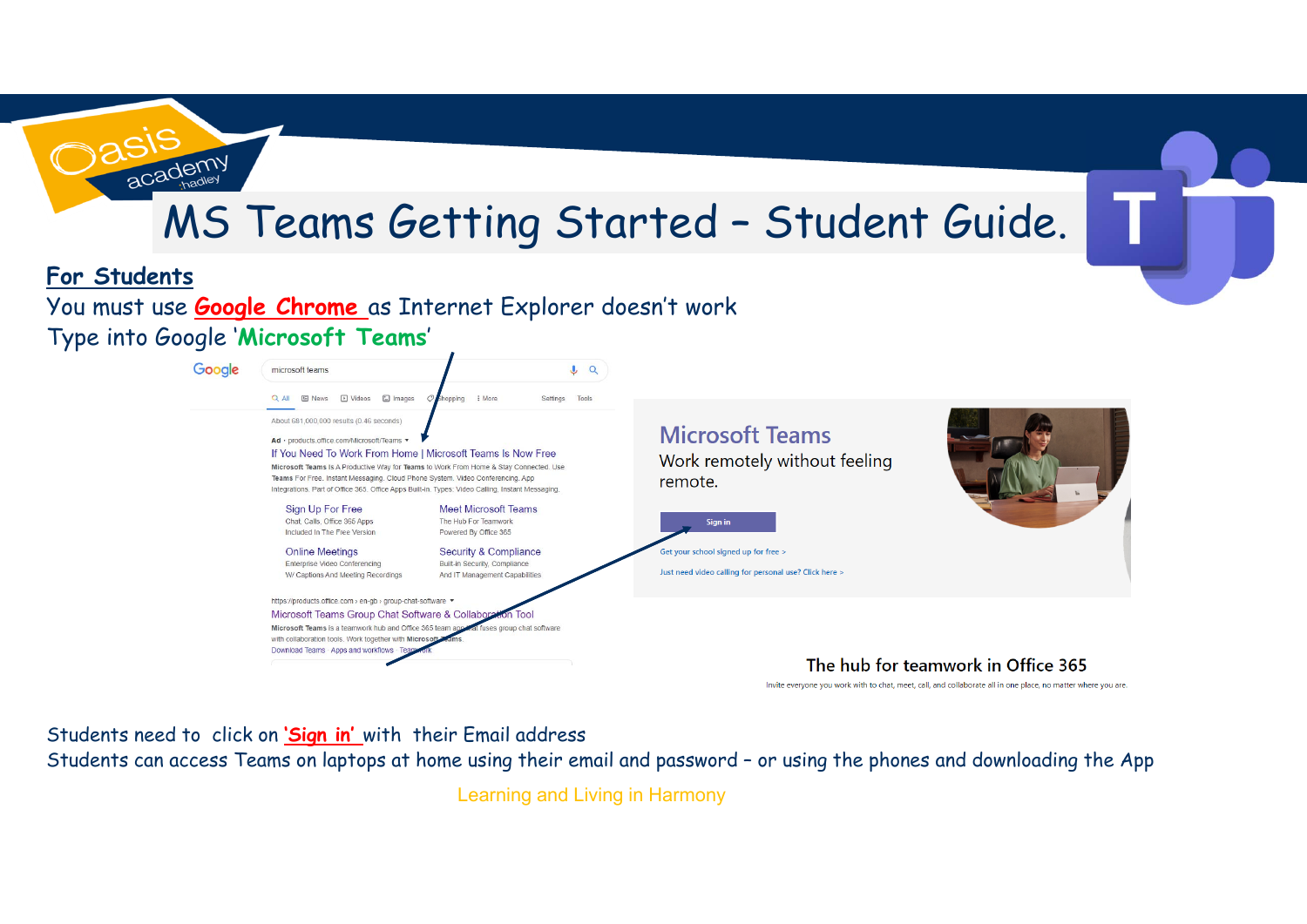## MS Teams Getting Started – Student Guide.



academy

You must use **Google Chrome** as Internet Explorer doesn't work Type into Google '**Microsoft Teams**'



Invite everyone you work with to chat, meet, call, and collaborate all in one place, no matter where you are.

Students need to click on **'Sign in'** with their Email address

Students can access Teams on laptops at home using their email and password – or using the phones and downloading the App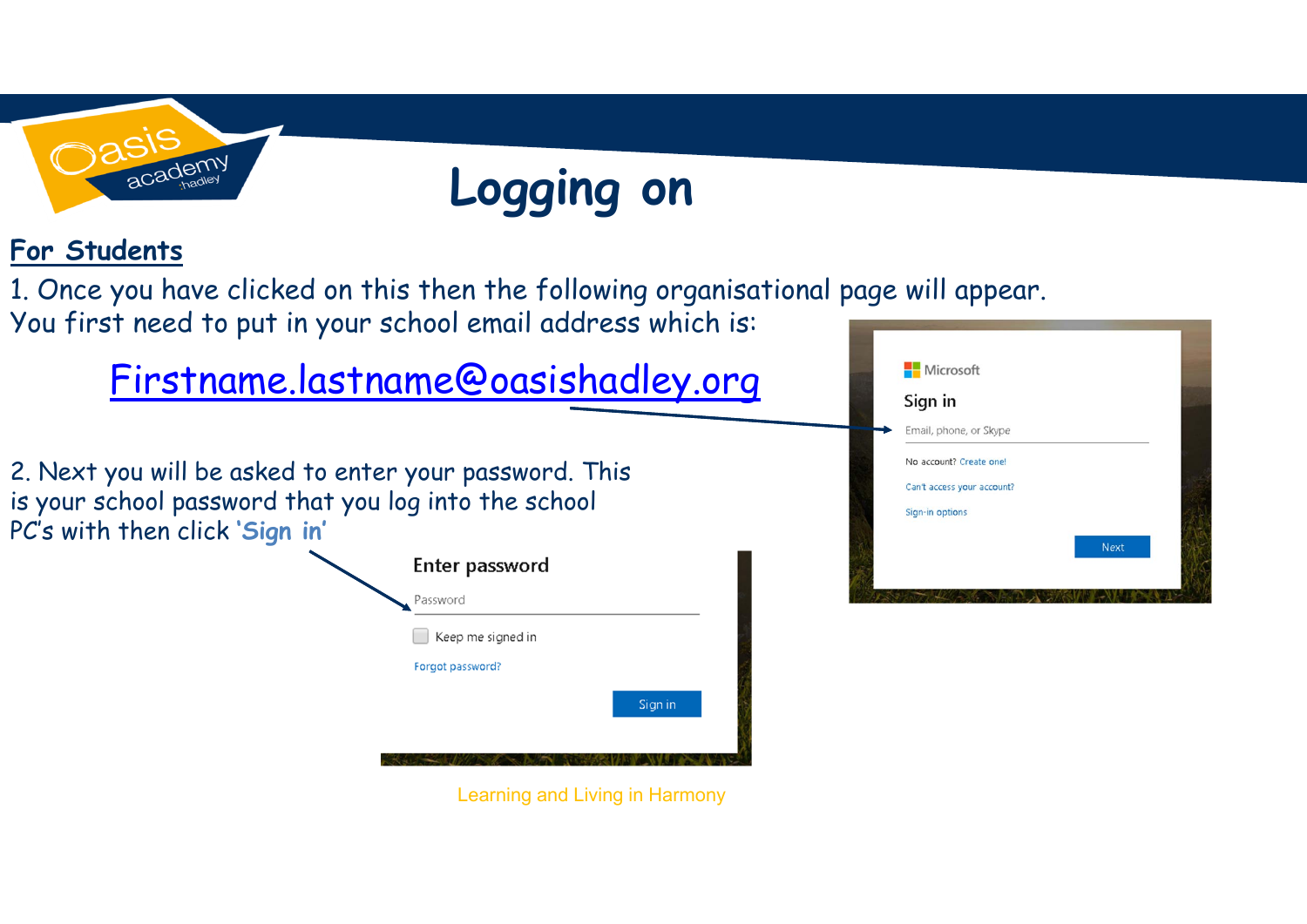

## **Logging on**

## **For Students**

1. Once you have clicked on this then the following organisational page will appear. You first need to put in your school email address which is:

## Firstname.lastname@oasishadley.org

2. Next you will be asked to enter your password. This is your school password that you log into the school PC's with then click **'Sign in'**



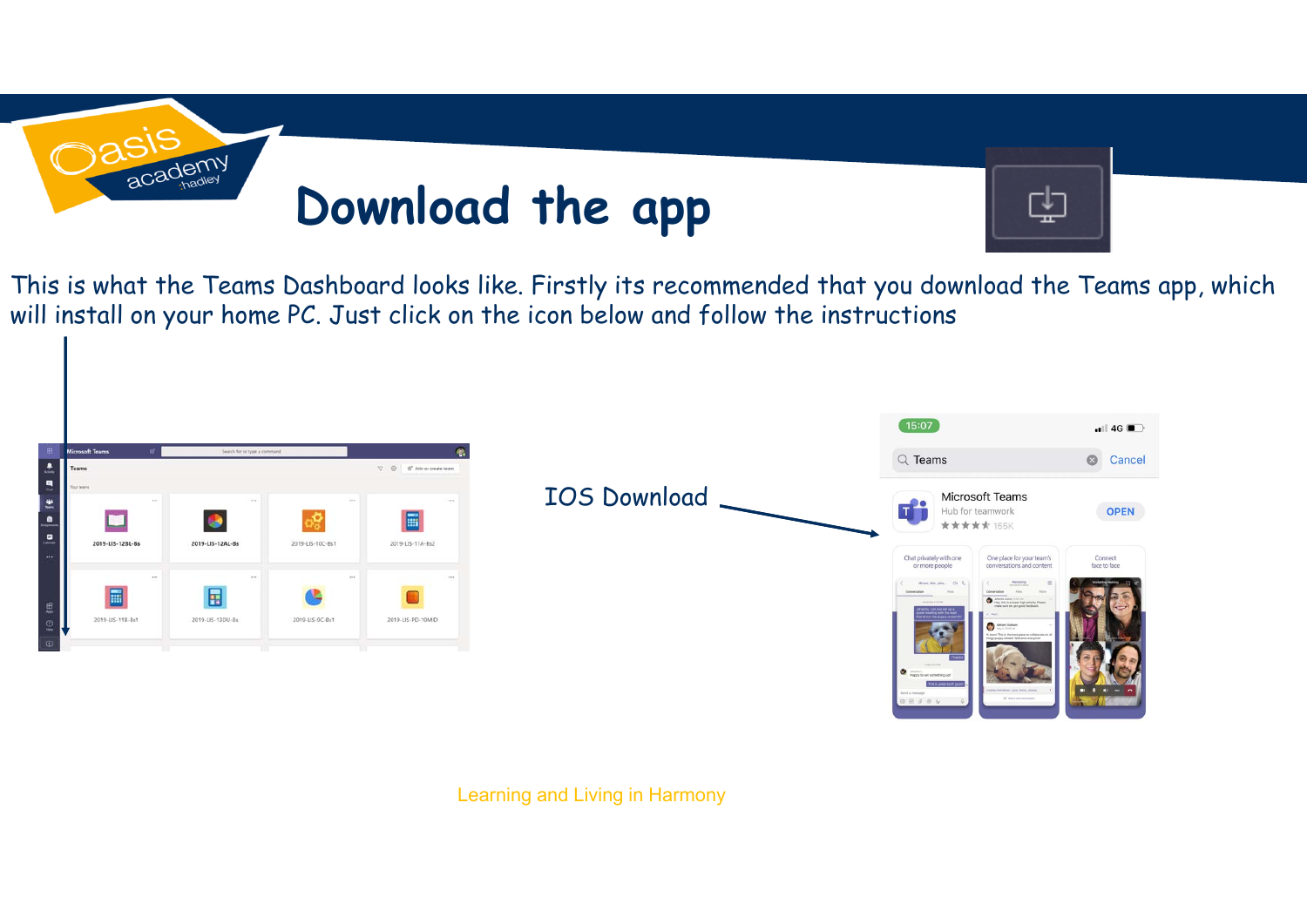

This is what the Teams Dashboard looks like. Firstly its recommended that you download the Teams app, which will install on your home PC. Just click on the icon below and follow the instructions